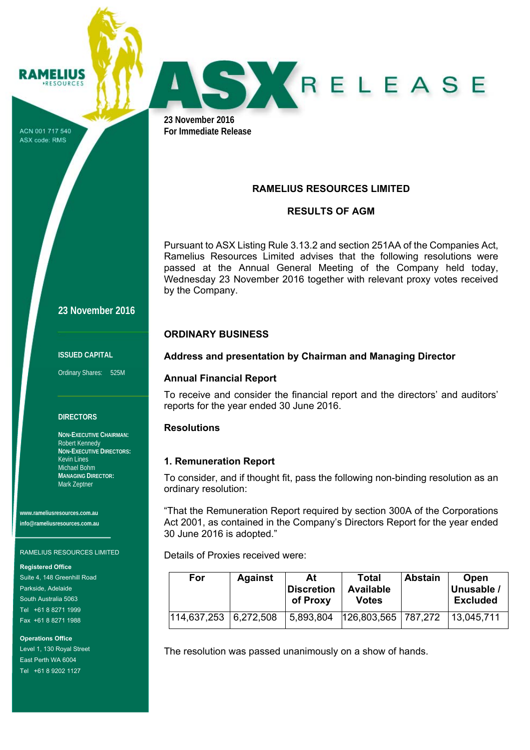ACN 001 717 540 ASX code: RMS

**RAMELIUS RESOURCES** 



**23 November 2016 For Immediate Release** 

# **RAMELIUS RESOURCES LIMITED**

## **RESULTS OF AGM**

Pursuant to ASX Listing Rule 3.13.2 and section 251AA of the Companies Act, Ramelius Resources Limited advises that the following resolutions were passed at the Annual General Meeting of the Company held today, Wednesday 23 November 2016 together with relevant proxy votes received by the Company.

### **ORDINARY BUSINESS**

## **Address and presentation by Chairman and Managing Director**

### **Annual Financial Report**

To receive and consider the financial report and the directors' and auditors' reports for the year ended 30 June 2016.

### **Resolutions**

### **1. Remuneration Report**

To consider, and if thought fit, pass the following non-binding resolution as an ordinary resolution:

"That the Remuneration Report required by section 300A of the Corporations Act 2001, as contained in the Company's Directors Report for the year ended 30 June 2016 is adopted."

Details of Proxies received were:

| For         | <b>Against</b> | At<br>∣Discretion<br>of Proxy | Total<br><b>Available</b><br>Votes | <b>Abstain</b> | Open<br>Unusable /<br><b>Excluded</b> |
|-------------|----------------|-------------------------------|------------------------------------|----------------|---------------------------------------|
| 114,637,253 | 6.272.508      | 5,893,804                     | 126,803,565   787,272              |                | 13,045,711                            |

The resolution was passed unanimously on a show of hands.

**23 November 2016** 

#### **ISSUED CAPITAL**

Ordinary Shares: 525M

### **DIRECTORS**

**NON-EXECUTIVE CHAIRMAN:**  Robert Kennedy **NON-EXECUTIVE DIRECTORS:**  Kevin Lines Michael Bohm **MANAGING DIRECTOR:**  Mark Zeptner

**www.rameliusresources.com.au info@rameliusresources.com.au** 

#### RAMELIUS RESOURCES LIMITED

**Registered Office** 

Suite 4, 148 Greenhill Road Parkside, Adelaide South Australia 5063 Tel +61 8 8271 1999 Fax +61 8 8271 1988

**Operations Office**  Level 1, 130 Royal Street East Perth WA 6004 Tel +61 8 9202 1127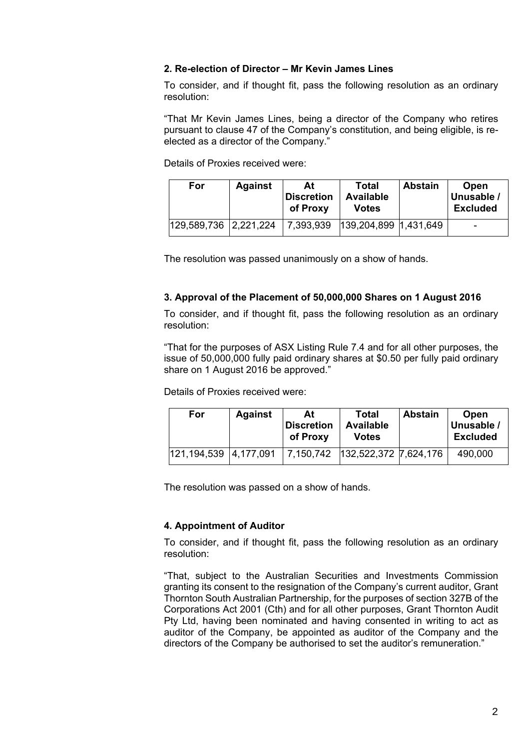## **2. Re-election of Director – Mr Kevin James Lines**

To consider, and if thought fit, pass the following resolution as an ordinary resolution:

"That Mr Kevin James Lines, being a director of the Company who retires pursuant to clause 47 of the Company's constitution, and being eligible, is reelected as a director of the Company."

Details of Proxies received were:

| For                     | <b>Against</b> | At<br><b>Discretion</b><br>of Proxy | Total<br><b>Available</b><br>Votes | <b>Abstain</b> | <b>Open</b><br>Unusable /<br><b>Excluded</b> |
|-------------------------|----------------|-------------------------------------|------------------------------------|----------------|----------------------------------------------|
| 129,589,736   2,221,224 |                | 7,393,939                           | 139,204,899 1,431,649              |                | -                                            |

The resolution was passed unanimously on a show of hands.

## **3. Approval of the Placement of 50,000,000 Shares on 1 August 2016**

To consider, and if thought fit, pass the following resolution as an ordinary resolution:

"That for the purposes of ASX Listing Rule 7.4 and for all other purposes, the issue of 50,000,000 fully paid ordinary shares at \$0.50 per fully paid ordinary share on 1 August 2016 be approved."

Details of Proxies received were:

| For           | <b>Against</b> | At<br><b>Discretion</b><br>of Proxy | Total<br><b>Available</b><br><b>Votes</b> | <b>Abstain</b> | <b>Open</b><br>Unusable /<br><b>Excluded</b> |
|---------------|----------------|-------------------------------------|-------------------------------------------|----------------|----------------------------------------------|
| 121, 194, 539 | 4,177,091      | 7.150,742                           | 132,522,372 7,624,176                     |                | 490,000                                      |

The resolution was passed on a show of hands.

### **4. Appointment of Auditor**

To consider, and if thought fit, pass the following resolution as an ordinary resolution:

"That, subject to the Australian Securities and Investments Commission granting its consent to the resignation of the Company's current auditor, Grant Thornton South Australian Partnership, for the purposes of section 327B of the Corporations Act 2001 (Cth) and for all other purposes, Grant Thornton Audit Pty Ltd, having been nominated and having consented in writing to act as auditor of the Company, be appointed as auditor of the Company and the directors of the Company be authorised to set the auditor's remuneration."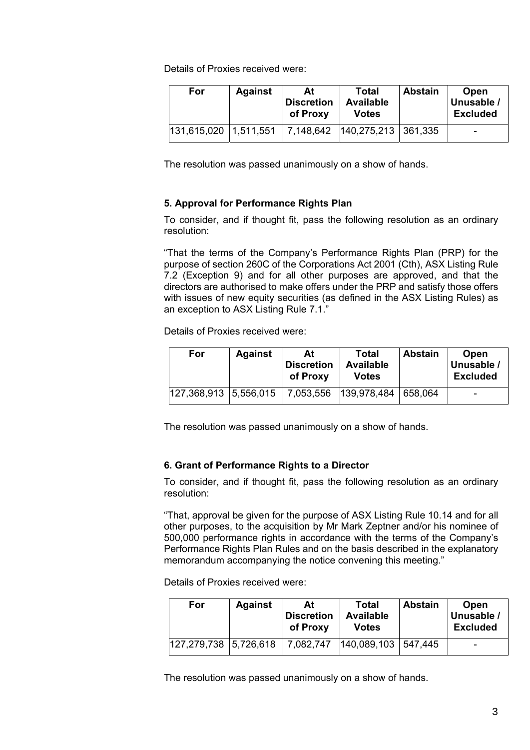Details of Proxies received were:

| For         | <b>Against</b> | At<br><b>Discretion</b><br>of Proxy | Total<br><b>Available</b><br><b>Votes</b> | <b>Abstain</b> | Open<br>Unusable /<br><b>Excluded</b> |
|-------------|----------------|-------------------------------------|-------------------------------------------|----------------|---------------------------------------|
| 131,615,020 | 1,511,551      | 7,148,642                           | 140, 275, 213 361, 335                    |                | $\blacksquare$                        |

The resolution was passed unanimously on a show of hands.

## **5. Approval for Performance Rights Plan**

To consider, and if thought fit, pass the following resolution as an ordinary resolution:

"That the terms of the Company's Performance Rights Plan (PRP) for the purpose of section 260C of the Corporations Act 2001 (Cth), ASX Listing Rule 7.2 (Exception 9) and for all other purposes are approved, and that the directors are authorised to make offers under the PRP and satisfy those offers with issues of new equity securities (as defined in the ASX Listing Rules) as an exception to ASX Listing Rule 7.1."

Details of Proxies received were:

| For                   | <b>Against</b> | At<br><b>Discretion</b><br>of Proxy | Total<br><b>Available</b><br><b>Votes</b> | <b>Abstain</b> | Open<br>Unusable /<br><b>Excluded</b> |
|-----------------------|----------------|-------------------------------------|-------------------------------------------|----------------|---------------------------------------|
| 127,368,913 5,556,015 |                | 7,053,556                           | 139,978,484                               | 658.064        | $\overline{\phantom{0}}$              |

The resolution was passed unanimously on a show of hands.

## **6. Grant of Performance Rights to a Director**

To consider, and if thought fit, pass the following resolution as an ordinary resolution:

"That, approval be given for the purpose of ASX Listing Rule 10.14 and for all other purposes, to the acquisition by Mr Mark Zeptner and/or his nominee of 500,000 performance rights in accordance with the terms of the Company's Performance Rights Plan Rules and on the basis described in the explanatory memorandum accompanying the notice convening this meeting."

Details of Proxies received were:

| For                     | <b>Against</b> | At<br><b>Discretion</b><br>of Proxy | Total<br><b>Available</b><br><b>Votes</b> | <b>Abstain</b> | Open<br>Unusable /<br><b>Excluded</b> |
|-------------------------|----------------|-------------------------------------|-------------------------------------------|----------------|---------------------------------------|
| 127,279,738   5,726,618 |                | 7,082,747                           | 140,089,103                               | 547.445        | $\overline{\phantom{0}}$              |

The resolution was passed unanimously on a show of hands.